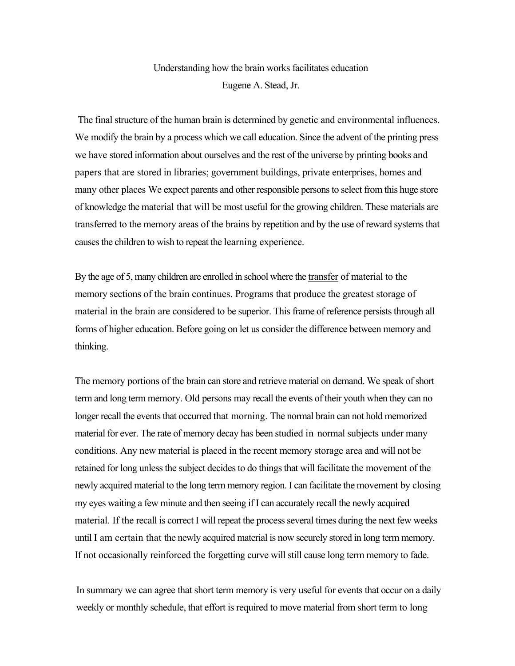## Understanding how the brain works facilitates education Eugene A. Stead, Jr.

The final structure of the human brain is determined by genetic and environmental influences. We modify the brain by a process which we call education. Since the advent of the printing press we have stored information about ourselves and the rest of the universe by printing books and papers that are stored in libraries; government buildings, private enterprises, homes and many other places We expect parents and other responsible persons to select from this huge store of knowledge the material that will be most useful for the growing children. These materials are transferred to the memory areas of the brains by repetition and by the use of reward systems that causes the children to wish to repeat the learning experience.

By the age of 5, many children are enrolled in school where the transfer of material to the memory sections of the brain continues. Programs that produce the greatest storage of material in the brain are considered to be superior. This frame of reference persists through all forms of higher education. Before going on let us consider the difference between memory and thinking.

The memory portions of the brain can store and retrieve material on demand. We speak of short term and long term memory. Old persons may recall the events of their youth when they can no longer recall the events that occurred that morning. The normal brain can not hold memorized material for ever. The rate of memory decay has been studied in normal subjects under many conditions. Any new material is placed in the recent memory storage area and will not be retained for long unless the subject decides to do things that will facilitate the movement of the newly acquired material to the long term memory region. I can facilitate the movement by closing my eyes waiting a few minute and then seeing if I can accurately recall the newly acquired material. If the recall is correct I will repeat the process several times during the next few weeks until I am certain that the newly acquired material is now securely stored in long term memory. If not occasionally reinforced the forgetting curve will still cause long term memory to fade.

In summary we can agree that short term memory is very useful for events that occur on a daily weekly or monthly schedule, that effort is required to move material from short term to long